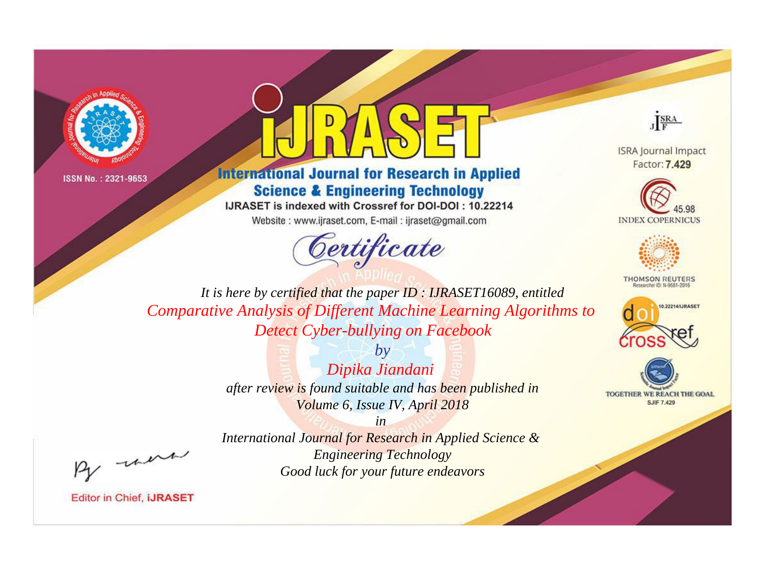



**International Journal for Research in Applied Science & Engineering Technology** 

IJRASET is indexed with Crossref for DOI-DOI: 10.22214

Website: www.ijraset.com, E-mail: ijraset@gmail.com



JERA

**ISRA Journal Impact** Factor: 7.429





**THOMSON REUTERS** 



TOGETHER WE REACH THE GOAL **SJIF 7.429** 

It is here by certified that the paper ID: IJRASET16089, entitled Comparative Analysis of Different Machine Learning Algorithms to **Detect Cyber-bullying on Facebook** 

> $b\nu$ Dipika Jiandani after review is found suitable and has been published in Volume 6, Issue IV, April 2018

were

International Journal for Research in Applied Science & **Engineering Technology** Good luck for your future endeavors

 $in$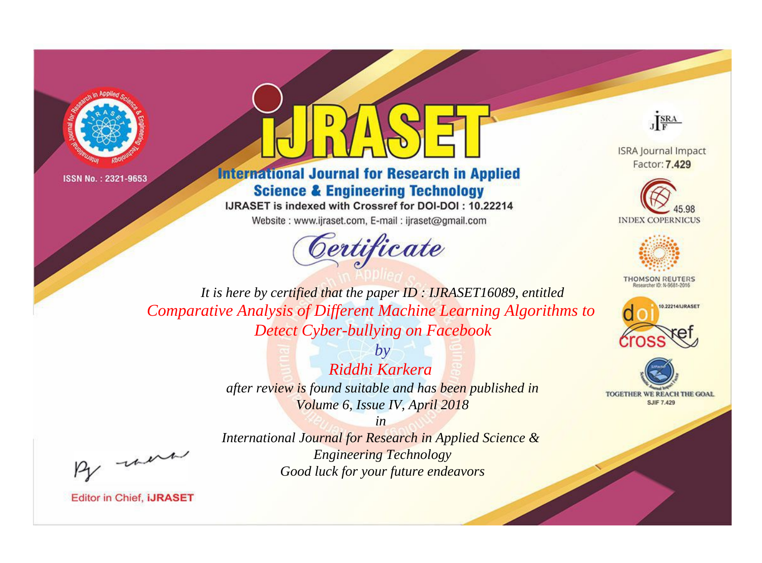



**International Journal for Research in Applied Science & Engineering Technology** 

IJRASET is indexed with Crossref for DOI-DOI: 10.22214

Website: www.ijraset.com, E-mail: ijraset@gmail.com



JERA

**ISRA Journal Impact** Factor: 7.429





**THOMSON REUTERS** 



TOGETHER WE REACH THE GOAL **SJIF 7.429** 

It is here by certified that the paper ID: IJRASET16089, entitled Comparative Analysis of Different Machine Learning Algorithms to **Detect Cyber-bullying on Facebook** 

> $b\nu$ Riddhi Karkera after review is found suitable and has been published in Volume 6, Issue IV, April 2018

were

International Journal for Research in Applied Science & **Engineering Technology** Good luck for your future endeavors

 $in$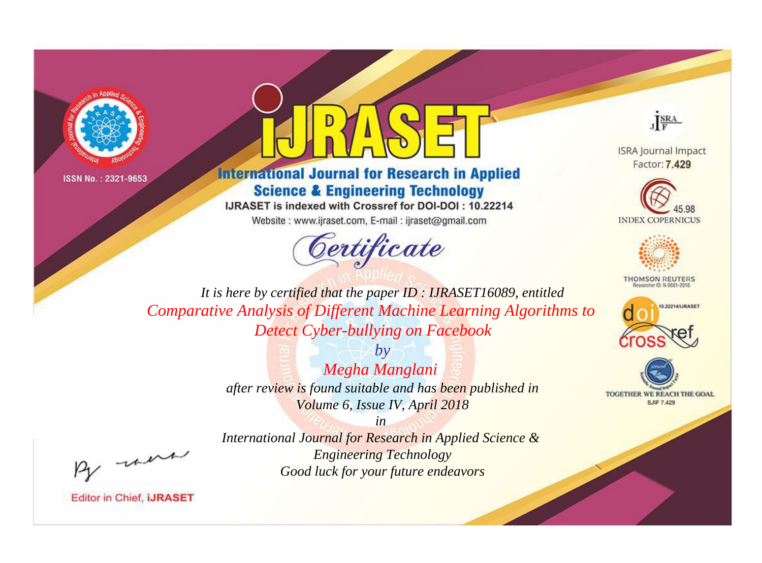



**International Journal for Research in Applied Science & Engineering Technology** 

IJRASET is indexed with Crossref for DOI-DOI: 10.22214

Website: www.ijraset.com, E-mail: ijraset@gmail.com



JERA

**ISRA Journal Impact** Factor: 7.429





**THOMSON REUTERS** 



TOGETHER WE REACH THE GOAL **SJIF 7.429** 

It is here by certified that the paper ID: IJRASET16089, entitled Comparative Analysis of Different Machine Learning Algorithms to **Detect Cyber-bullying on Facebook** 

> $b\nu$ Megha Manglani after review is found suitable and has been published in Volume 6, Issue IV, April 2018

were

International Journal for Research in Applied Science & **Engineering Technology** Good luck for your future endeavors

 $in$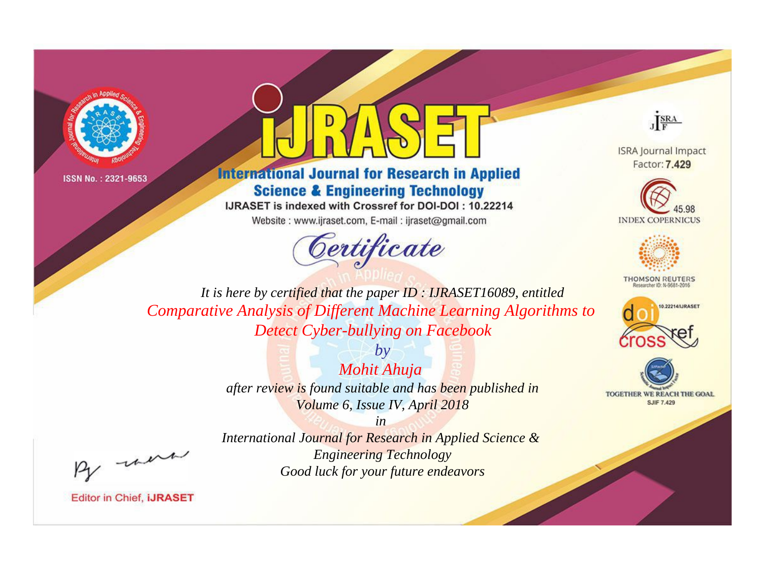



**International Journal for Research in Applied Science & Engineering Technology** 

IJRASET is indexed with Crossref for DOI-DOI: 10.22214

Website: www.ijraset.com, E-mail: ijraset@gmail.com



JERA

**ISRA Journal Impact** Factor: 7.429





**THOMSON REUTERS** 



TOGETHER WE REACH THE GOAL **SJIF 7.429** 

It is here by certified that the paper ID: IJRASET16089, entitled Comparative Analysis of Different Machine Learning Algorithms to **Detect Cyber-bullying on Facebook** 

> Mohit Ahuja after review is found suitable and has been published in Volume 6, Issue IV, April 2018

 $b\nu$ 

were

International Journal for Research in Applied Science & **Engineering Technology** Good luck for your future endeavors

 $in$